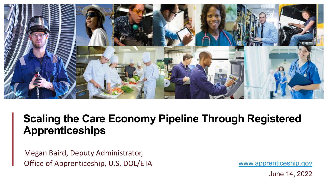

**Scaling the Care Economy Pipeline Through Registered Apprenticeships**

Megan Baird, Deputy Administrator, Office of Apprenticeship, U.S. DOL/ETA WWW.apprenticeship.gov

**1** June 14, 2022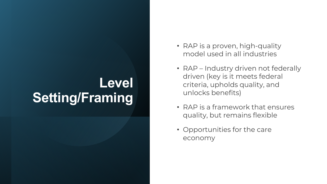## **Level Setting/Framing**

- RAP is a proven, high-quality model used in all industries
- RAP Industry driven not federally driven (key is it meets federal criteria, upholds quality, and unlocks benefits)
- RAP is a framework that ensures quality, but remains flexible
- Opportunities for the care economy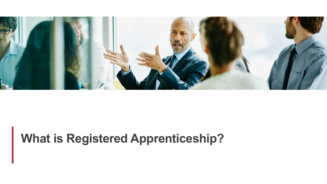

## **What is Registered Apprenticeship?**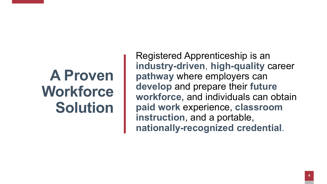## **A Proven Workforce Solution**

Registered Apprenticeship is an **industry-driven**, **high-quality** career **pathway** where employers can **develop** and prepare their **future workforce**, and individuals can obtain **paid work** experience, **classroom instruction**, and a portable, **nationally-recognized credential**.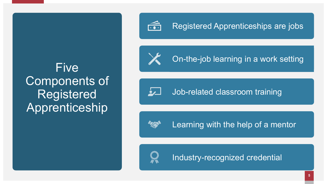#### Five Components of Registered Apprenticeship

 $\widehat{\mathbf{r}^{\bullet}}$ 

On-the-job learning in a work setting

Job-related classroom training

لسرفه

Learning with the help of a mentor



Industry-recognized credential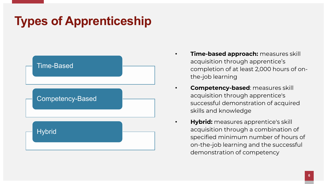## **Types of Apprenticeship**



- **Time-based approach:** measures skill acquisition through apprentice's completion of at least 2,000 hours of onthe-job learning
- **Competency-based**: measures skill acquisition through apprentice's successful demonstration of acquired skills and knowledge
- **Hybrid:** measures apprentice's skill acquisition through a combination of specified minimum number of hours of on-the-job learning and the successful demonstration of competency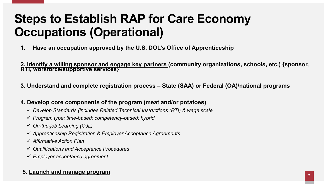#### **Steps to Establish RAP for Care Economy Occupations (Operational)**

**1. Have an occupation approved by the U.S. DOL's Office of Apprenticeship** 

**2. Identify a willing sponsor and engage key partners (community organizations, schools, etc.) {sponsor, RTI, workforce/supportive services}**

**3. Understand and complete registration process – State (SAA) or Federal (OA)/national programs**

#### **4. Develop core components of the program (meat and/or potatoes)**

- *Develop Standards (includes Related Technical Instructions (RTI) & wage scale*
- *Program type: time-based; competency-based; hybrid*
- *On-the-job Learning (OJL)*
- *Apprenticeship Registration & Employer Acceptance Agreements*
- *Affirmative Action Plan*
- *Qualifications and Acceptance Procedures*
- *Employer acceptance agreement*

#### **5. Launch and manage program**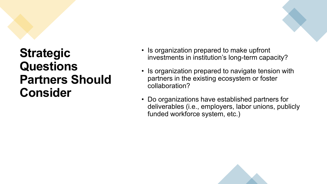#### **Strategic Questions Partners Should Consider**

- Is organization prepared to make upfront investments in institution's long-term capacity?
- Is organization prepared to navigate tension with partners in the existing ecosystem or foster collaboration?
- Do organizations have established partners for deliverables (i.e., employers, labor unions, publicly funded workforce system, etc.)

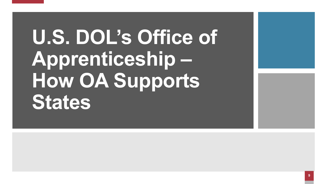# **U.S. DOL's Office of Apprenticeship – How OA Supports States**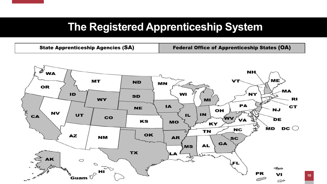#### **The Registered Apprenticeship System**

State Apprenticeship Agencies (SA) Tederal Office of Apprenticeship States (OA)



**10**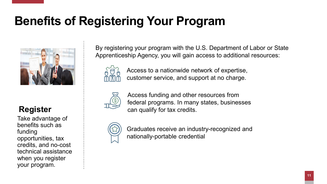#### **Benefits of Registering Your Program**



#### **Register**

Take advantage of benefits such as funding opportunities, tax credits, and no-cost technical assistance when you register your program.

By registering your program with the U.S. Department of Labor or State Apprenticeship Agency, you will gain access to additional resources:



Access to a nationwide network of expertise, customer service, and support at no charge.



Access funding and other resources from federal programs. In many states, businesses can qualify for tax credits.



Graduates receive an industry-recognized and nationally-portable credential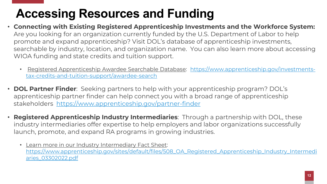## **Accessing Resources and Funding**

- **Connecting with Existing Registered Apprenticeship Investments and the Workforce System:**  Are you looking for an organization currently funded by the U.S. Department of Labor to help promote and expand apprenticeship? Visit DOL's database of apprenticeship investments, searchable by industry, location, and organization name. You can also learn more about accessing WIOA funding and state credits and tuition support.
	- [Registered Apprenticeship Awardee Searchable Database:](https://www.apprenticeship.gov/investments-tax-credits-and-tuition-support/awardee-search) https://www.apprenticeship.gov/investmentstax-credits-and-tuition-support/awardee-search
- **DOL Partner Finder**: Seeking partners to help with your apprenticeship program? DOL's apprenticeship partner finder can help connect you with a broad range of apprenticeship stakeholders <https://www.apprenticeship.gov/partner-finder>
- **Registered Apprenticeship Industry Intermediaries**: Through a partnership with DOL, these industry intermediaries offer expertise to help employers and labor organizations successfully launch, promote, and expand RA programs in growing industries.
	- Learn more in our Industry Intermediary Fact Sheet: [https://www.apprenticeship.gov/sites/default/files/508\\_OA\\_Registered\\_Apprenticeship\\_Industry\\_Intermedi](https://www.apprenticeship.gov/sites/default/files/508_OA_Registered_Apprenticeship_Industry_Intermediaries_03302022.pdf) aries\_03302022.pdf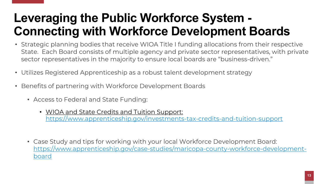## **Leveraging the Public Workforce System - Connecting with Workforce Development Boards**

- Strategic planning bodies that receive WIOA Title I funding allocations from their respective State. Each Board consists of multiple agency and private sector representatives, with private sector representatives in the majority to ensure local boards are "business-driven."
- Utilizes Registered Apprenticeship as a robust talent development strategy
- Benefits of partnering with Workforce Development Boards
	- Access to Federal and State Funding:
		- WIOA and State Credits and Tuition Support: <https://www.apprenticeship.gov/investments-tax-credits-and-tuition-support>
	- Case Study and tips for working with your local Workforce Development Board: [https://www.apprenticeship.gov/case-studies/maricopa-county-workforce-development](https://www.apprenticeship.gov/case-studies/maricopa-county-workforce-development-board)board